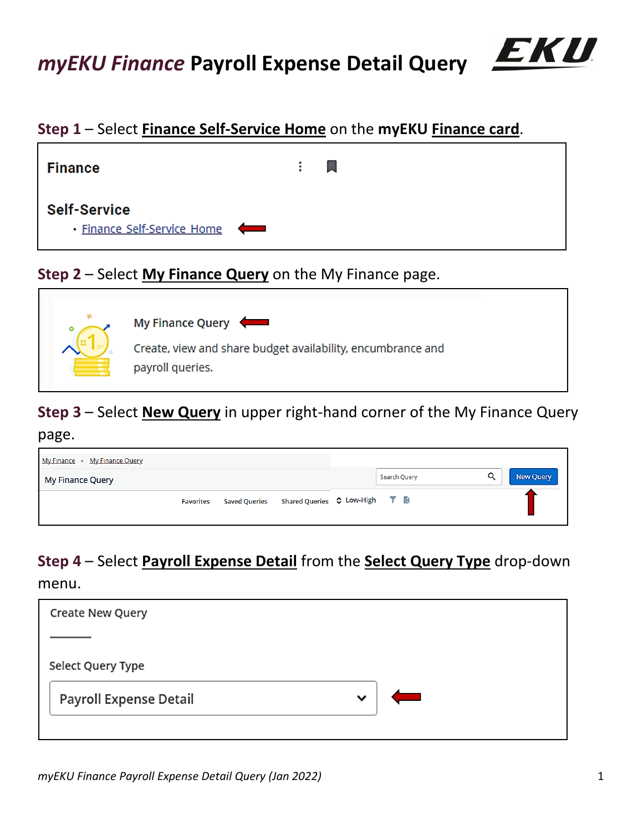

## **Step 1** – Select **Finance Self-Service Home** on the **myEKU Finance card**.



# **Step 2** – Select **My Finance Query** on the My Finance page.



## **Step 3** – Select **New Query** in upper right-hand corner of the My Finance Query

### page.

| My Finance • My Finance Query |                                             |                |
|-------------------------------|---------------------------------------------|----------------|
| My Finance Query              | Search Query                                | Q<br>New Query |
| <b>Favorites</b>              | Saved Queries Shared Queries C Low-High T a |                |

# **Step 4** – Select **Payroll Expense Detail** from the **Select Query Type** drop-down

### menu.

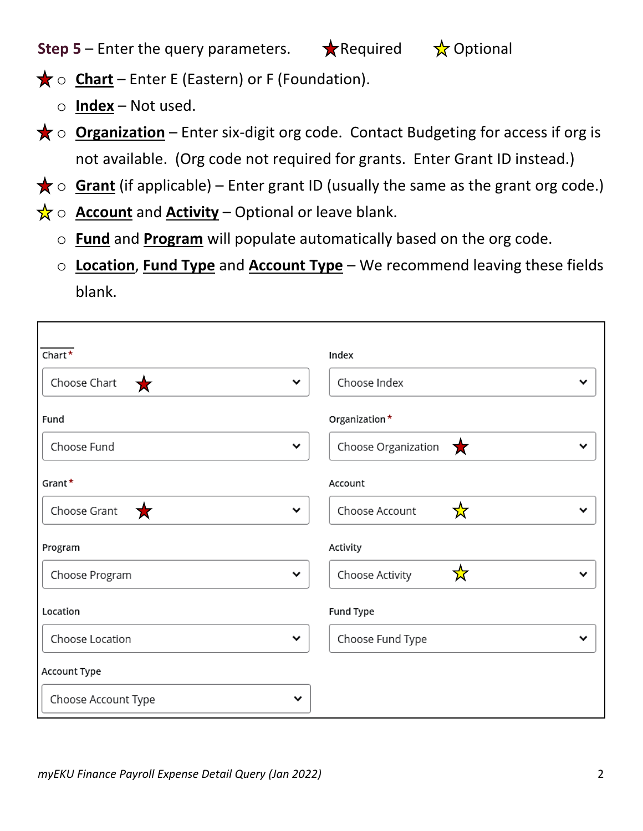**Step 5** – Enter the query parameters.  $\star$  Required  $\star$  Optional

- $\bigstar$  o **Chart** Enter E (Eastern) or F (Foundation).
	- o **Index** Not used.

г

- **★ o Organization** Enter six-digit org code. Contact Budgeting for access if org is not available. (Org code not required for grants. Enter Grant ID instead.)
- $\bigstar$   $\circ$  **Grant** (if applicable) Enter grant ID (usually the same as the grant org code.)
- $\frac{1}{X}$   $\circ$  **Account** and **Activity** Optional or leave blank.
	- o **Fund** and **Program** will populate automatically based on the org code.
	- o **Location**, **Fund Type** and **Account Type** We recommend leaving these fields blank.

| $Chart^{\star}$                  | Index                                    |   |
|----------------------------------|------------------------------------------|---|
| Choose Chart<br>v<br>★           | Choose Index                             |   |
| Fund                             | Organization*                            |   |
| Choose Fund<br>v                 | Choose Organization $\sqrt{\phantom{a}}$ |   |
| Grant*                           | Account                                  |   |
| Choose Grant<br>★<br>$\check{ }$ | ☆<br>Choose Account                      | v |
| Program                          | Activity                                 |   |
| Choose Program<br>$\checkmark$   | ☆<br>Choose Activity                     | v |
| Location                         | Fund Type                                |   |
| Choose Location<br>$\checkmark$  | Choose Fund Type                         | v |
| Account Type                     |                                          |   |
| Choose Account Type<br>v         |                                          |   |